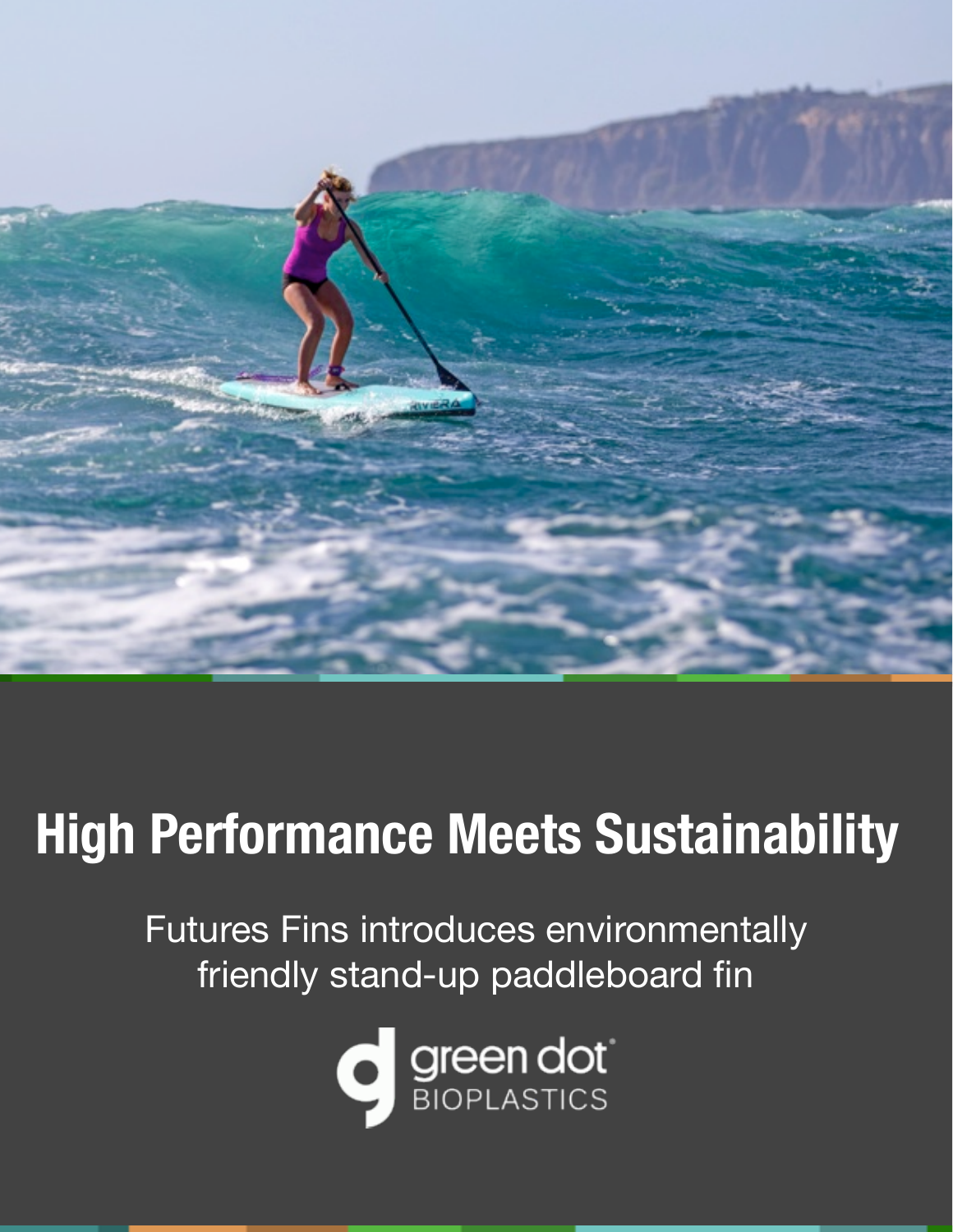

# **High Performance Meets Sustainability**

Futures Fins introduces environmentally friendly stand-up paddleboard fin

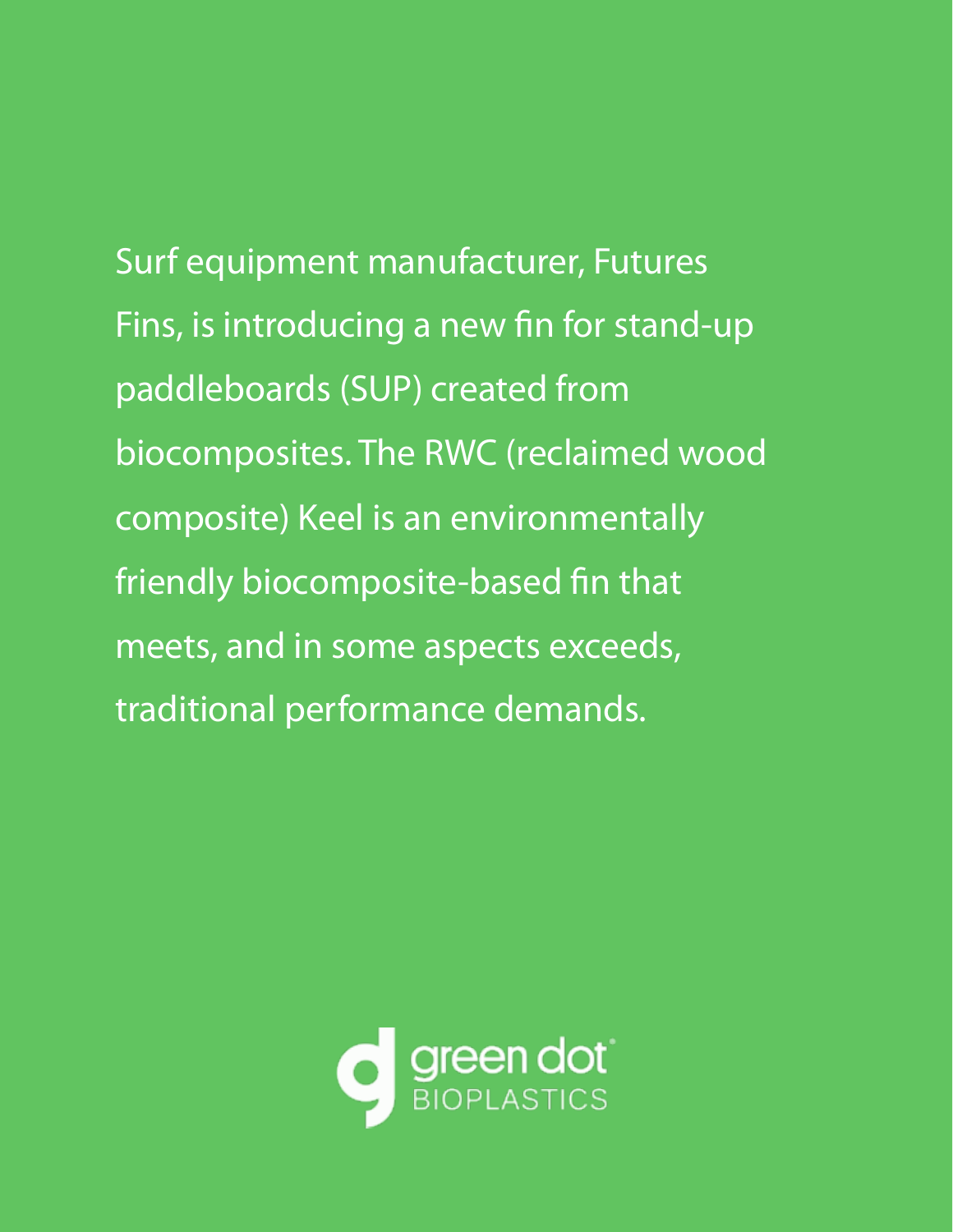Surf equipment manufacturer, Futures Fins, is introducing a new fin for stand-up paddleboards (SUP) created from biocomposites. The RWC (reclaimed wood composite) Keel is an environmentally friendly biocomposite-based fin that meets, and in some aspects exceeds, traditional performance demands.

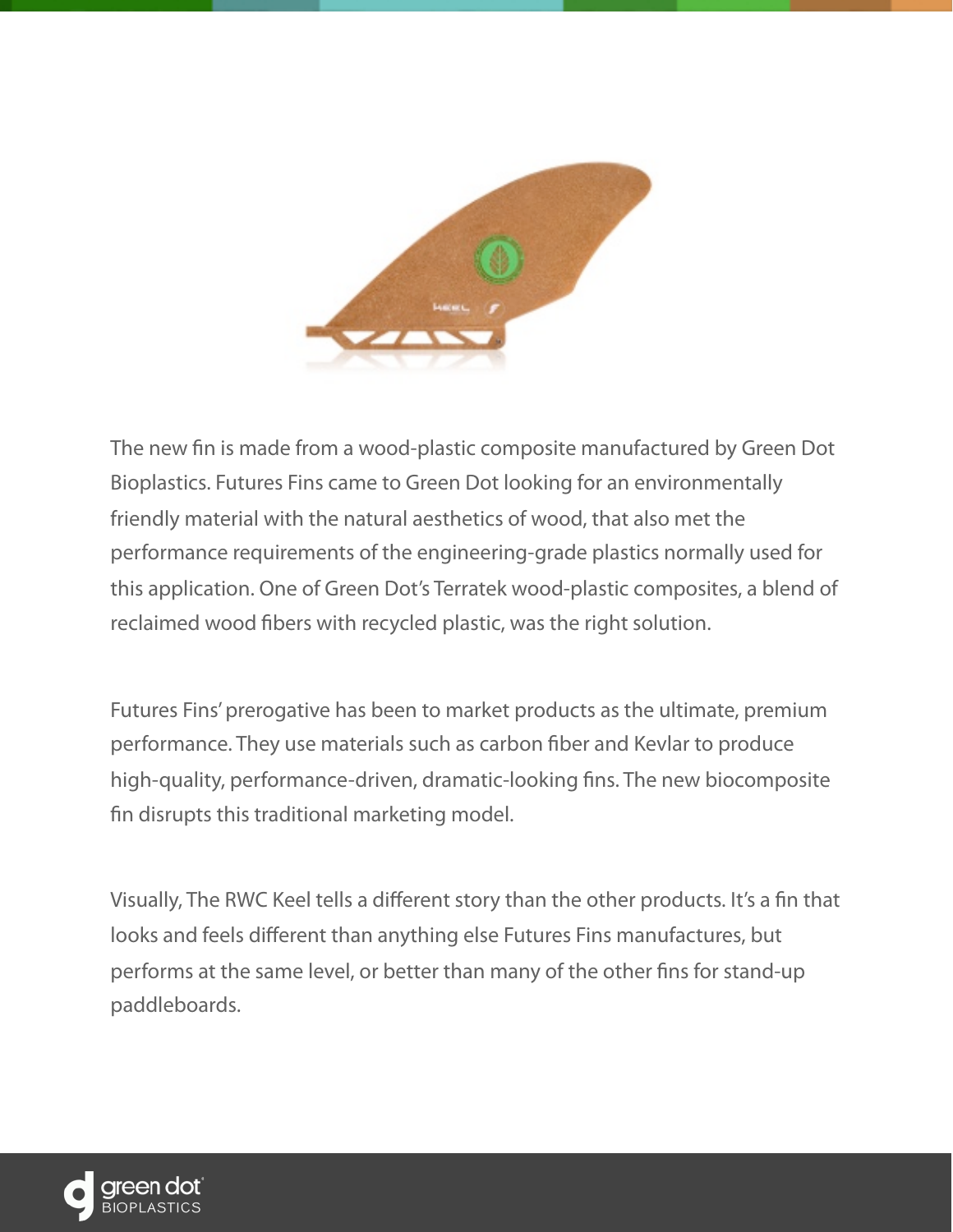

The new fn is made from a wood-plastic composite manufactured by Green Dot Bioplastics. Futures Fins came to Green Dot looking for an environmentally friendly material with the natural aesthetics of wood, that also met the performance requirements of the engineering-grade plastics normally used for this application. One of Green Dot's Terratek wood-plastic composites, a blend of reclaimed wood fbers with recycled plastic, was the right solution.

Futures Fins' prerogative has been to market products as the ultimate, premium performance. They use materials such as carbon fber and Kevlar to produce high-quality, performance-driven, dramatic-looking fns. The new biocomposite fn disrupts this traditional marketing model.

Visually, The RWC Keel tells a different story than the other products. It's a fn that looks and feels different than anything else Futures Fins manufactures, but performs at the same level, or better than many of the other fns for stand-up paddleboards.

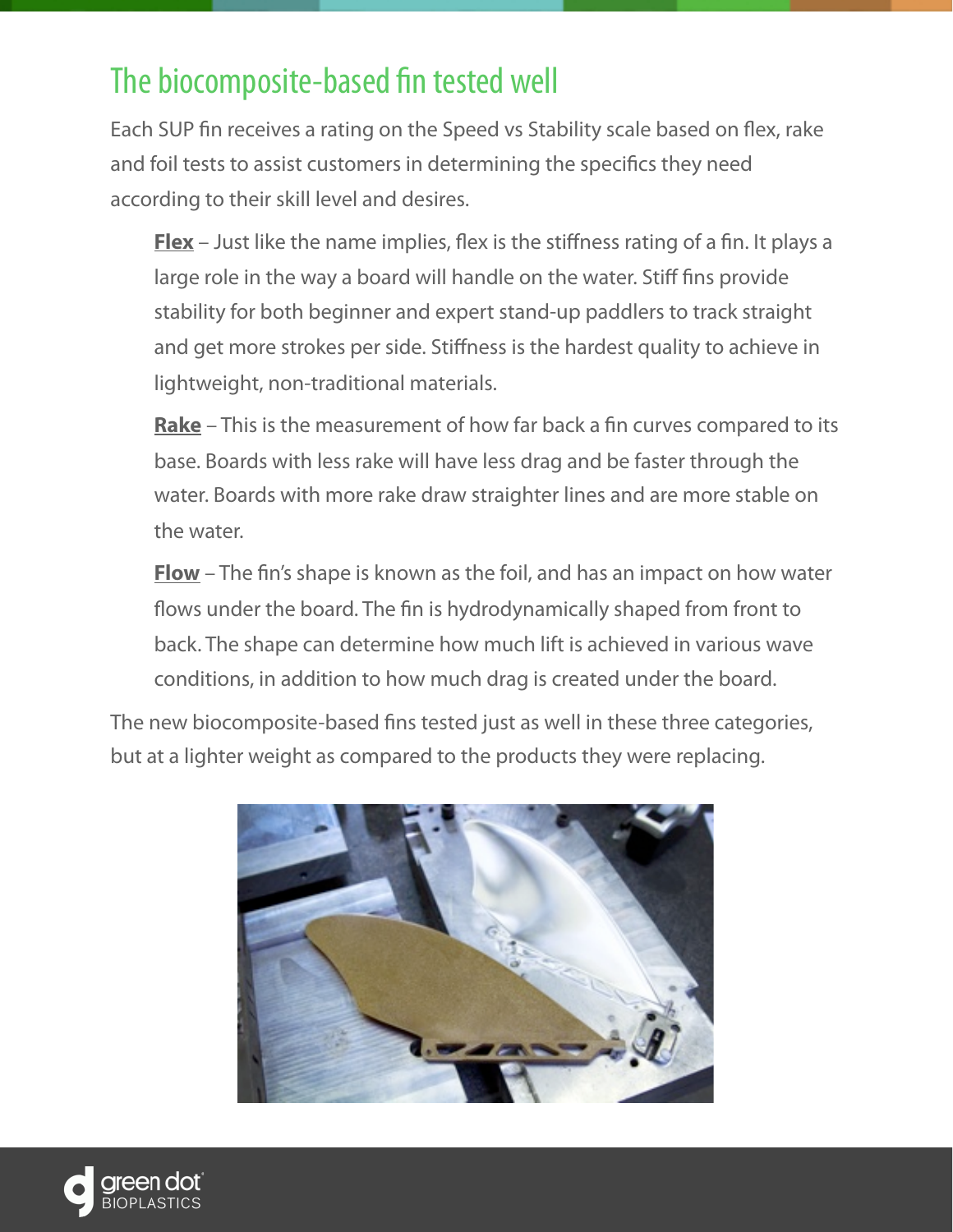### The biocomposite-based fn tested well

Each SUP fn receives a rating on the Speed vs Stability scale based on fex, rake and foil tests to assist customers in determining the specifcs they need according to their skill level and desires.

**Flex** – Just like the name implies, flex is the stiffness rating of a fin. It plays a large role in the way a board will handle on the water. Stiff fns provide stability for both beginner and expert stand-up paddlers to track straight and get more strokes per side. Stiffness is the hardest quality to achieve in lightweight, non-traditional materials.

**Rake** – This is the measurement of how far back a fn curves compared to its base. Boards with less rake will have less drag and be faster through the water. Boards with more rake draw straighter lines and are more stable on the water.

**Flow** – The fn's shape is known as the foil, and has an impact on how water flows under the board. The fin is hydrodynamically shaped from front to back. The shape can determine how much lift is achieved in various wave conditions, in addition to how much drag is created under the board.

The new biocomposite-based fns tested just as well in these three categories, but at a lighter weight as compared to the products they were replacing.



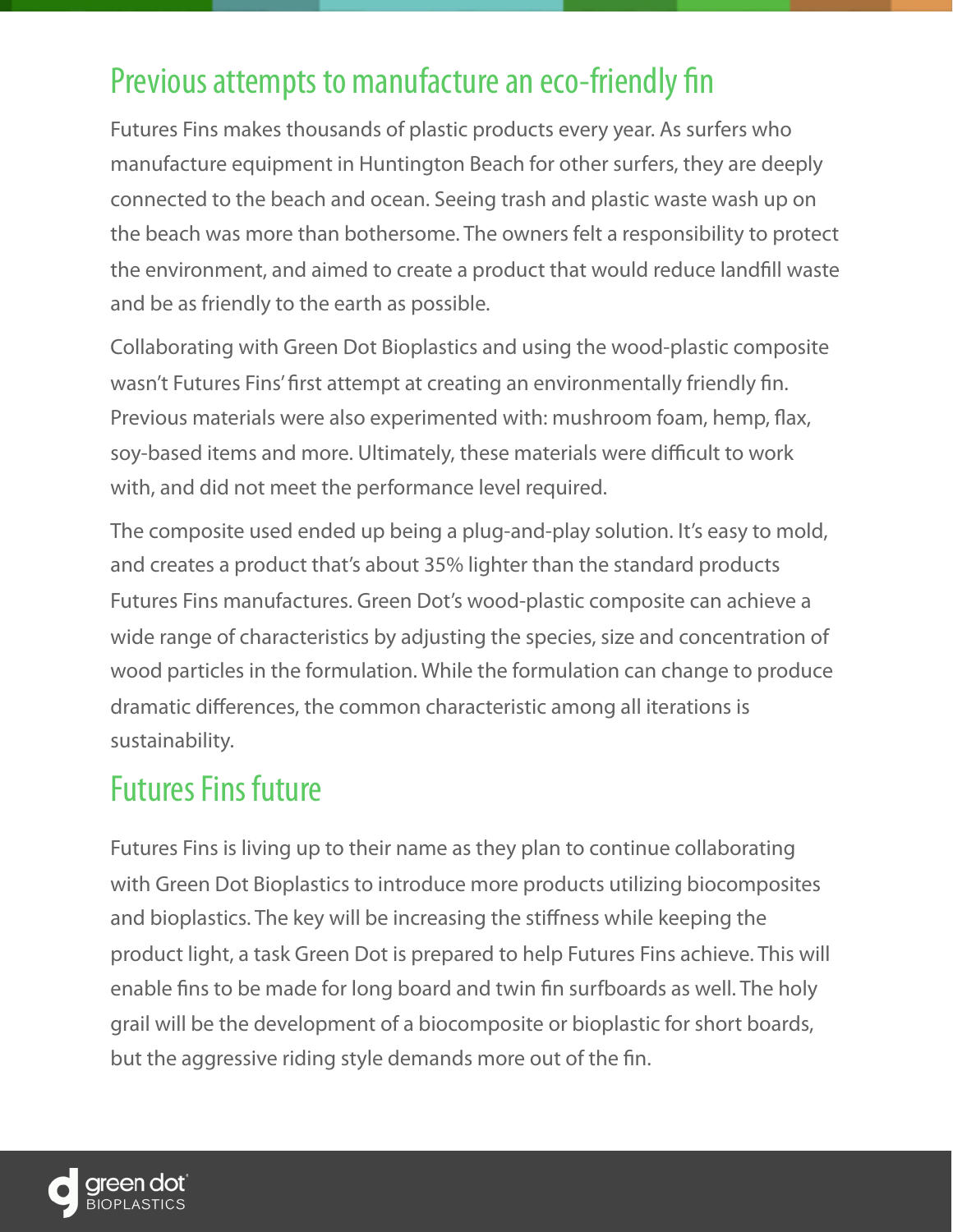### Previous attempts to manufacture an eco-friendly fin

Futures Fins makes thousands of plastic products every year. As surfers who manufacture equipment in Huntington Beach for other surfers, they are deeply connected to the beach and ocean. Seeing trash and plastic waste wash up on the beach was more than bothersome. The owners felt a responsibility to protect the environment, and aimed to create a product that would reduce landfll waste and be as friendly to the earth as possible.

Collaborating with Green Dot Bioplastics and using the wood-plastic composite wasn't Futures Fins' frst attempt at creating an environmentally friendly fn. Previous materials were also experimented with: mushroom foam, hemp, fax, soy-based items and more. Ultimately, these materials were difficult to work with, and did not meet the performance level required.

The composite used ended up being a plug-and-play solution. It's easy to mold, and creates a product that's about 35% lighter than the standard products Futures Fins manufactures. Green Dot's wood-plastic composite can achieve a wide range of characteristics by adjusting the species, size and concentration of wood particles in the formulation. While the formulation can change to produce dramatic differences, the common characteristic among all iterations is sustainability.

#### Futures Fins future

Futures Fins is living up to their name as they plan to continue collaborating with Green Dot Bioplastics to introduce more products utilizing biocomposites and bioplastics. The key will be increasing the stiffness while keeping the product light, a task Green Dot is prepared to help Futures Fins achieve. This will enable fns to be made for long board and twin fn surfboards as well. The holy grail will be the development of a biocomposite or bioplastic for short boards, but the aggressive riding style demands more out of the fn.